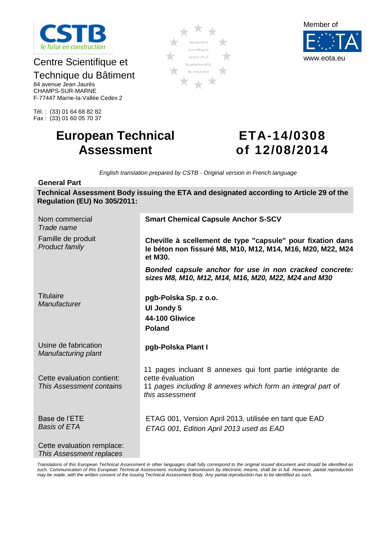

# Centre Scientifique et

# Technique du Bâtiment

84 avenue Jean Jaurès CHAMPS-SUR-MARNE F-77447 Marne-la-Vallée Cedex 2

Tél. : (33) 01 64 68 82 82 Fax : (33) 01 60 05 70 37

# **European Technical Assessment**

# **ETA-14/0308 of 12/08/2014**

*English translation prepared by CSTB - Original version in French language*

**Designated** 

### **General Part**

**Technical Assessment Body issuing the ETA and designated according to Article 29 of the Regulation (EU) No 305/2011:**

| Nom commercial<br>Trade name                           | <b>Smart Chemical Capsule Anchor S-SCV</b>                                                                                                                      |
|--------------------------------------------------------|-----------------------------------------------------------------------------------------------------------------------------------------------------------------|
| Famille de produit<br>Product family                   | Cheville à scellement de type "capsule" pour fixation dans<br>le béton non fissuré M8, M10, M12, M14, M16, M20, M22, M24<br>et M30.                             |
|                                                        | Bonded capsule anchor for use in non cracked concrete:<br>sizes M8, M10, M12, M14, M16, M20, M22, M24 and M30                                                   |
| <b>Titulaire</b><br>Manufacturer                       | pgb-Polska Sp. z o.o.<br>UI Jondy 5<br><b>44-100 Gliwice</b><br><b>Poland</b>                                                                                   |
| Usine de fabrication<br>Manufacturing plant            | pgb-Polska Plant I                                                                                                                                              |
| Cette evaluation contient:<br>This Assessment contains | 11 pages incluant 8 annexes qui font partie intégrante de<br>cette évaluation<br>11 pages including 8 annexes which form an integral part of<br>this assessment |
| Base de l'ETE<br><b>Basis of ETA</b>                   | ETAG 001, Version April 2013, utilisée en tant que EAD<br>ETAG 001, Edition April 2013 used as EAD                                                              |
| Cette evaluation remplace:<br>This Assessment replaces |                                                                                                                                                                 |

*Translations of this European Technical Assessment in other languages shall fully correspond to the original issued document and should be identified as*  such. Communication of this European Technical Assessment, including transmission by electronic means, shall be in full. However, partial reproduction *may be made, with the written consent of the issuing Technical Assessment Body. Any partial reproduction has to be identified as such.*



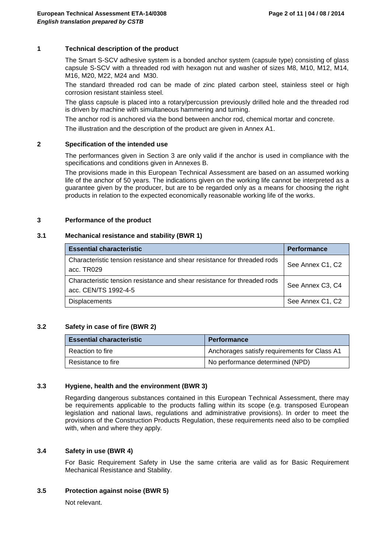### **1 Technical description of the product**

The Smart S-SCV adhesive system is a bonded anchor system (capsule type) consisting of glass capsule S-SCV with a threaded rod with hexagon nut and washer of sizes M8, M10, M12, M14, M16, M20, M22, M24 and M30.

The standard threaded rod can be made of zinc plated carbon steel, stainless steel or high corrosion resistant stainless steel.

The glass capsule is placed into a rotary/percussion previously drilled hole and the threaded rod is driven by machine with simultaneous hammering and turning.

The anchor rod is anchored via the bond between anchor rod, chemical mortar and concrete.

The illustration and the description of the product are given in Annex A1.

#### **2 Specification of the intended use**

The performances given in Section 3 are only valid if the anchor is used in compliance with the specifications and conditions given in Annexes B.

The provisions made in this European Technical Assessment are based on an assumed working life of the anchor of 50 years. The indications given on the working life cannot be interpreted as a guarantee given by the producer, but are to be regarded only as a means for choosing the right products in relation to the expected economically reasonable working life of the works.

### **3 Performance of the product**

#### **3.1 Mechanical resistance and stability (BWR 1)**

| <b>Essential characteristic</b>                                                                  | <b>Performance</b> |
|--------------------------------------------------------------------------------------------------|--------------------|
| Characteristic tension resistance and shear resistance for threaded rods<br>acc. TR029           | See Annex C1, C2   |
| Characteristic tension resistance and shear resistance for threaded rods<br>acc. CEN/TS 1992-4-5 | See Annex C3, C4   |
| <b>Displacements</b>                                                                             | See Annex C1, C2   |

### **3.2 Safety in case of fire (BWR 2)**

| <b>Essential characteristic</b> | <b>Performance</b>                           |
|---------------------------------|----------------------------------------------|
| Reaction to fire                | Anchorages satisfy requirements for Class A1 |
| Resistance to fire              | No performance determined (NPD)              |

### **3.3 Hygiene, health and the environment (BWR 3)**

Regarding dangerous substances contained in this European Technical Assessment, there may be requirements applicable to the products falling within its scope (e.g. transposed European legislation and national laws, regulations and administrative provisions). In order to meet the provisions of the Construction Products Regulation, these requirements need also to be complied with, when and where they apply.

### **3.4 Safety in use (BWR 4)**

For Basic Requirement Safety in Use the same criteria are valid as for Basic Requirement Mechanical Resistance and Stability.

### **3.5 Protection against noise (BWR 5)**

Not relevant.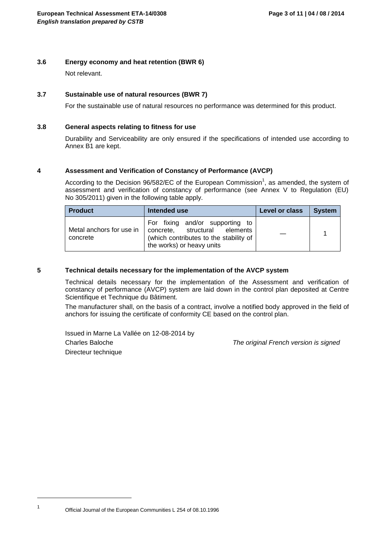### **3.6 Energy economy and heat retention (BWR 6)**

Not relevant.

### **3.7 Sustainable use of natural resources (BWR 7)**

For the sustainable use of natural resources no performance was determined for this product.

### **3.8 General aspects relating to fitness for use**

Durability and Serviceability are only ensured if the specifications of intended use according to Annex B1 are kept.

### **4 Assessment and Verification of Constancy of Performance (AVCP)**

According to the Decision 96/582/EC of the European Commission<sup>1</sup>, as amended, the system of assessment and verification of constancy of performance (see Annex V to Regulation (EU) No 305/2011) given in the following table apply.

| <b>Product</b>                       | Intended use                                                                                                                            | Level or class | <b>System</b> |
|--------------------------------------|-----------------------------------------------------------------------------------------------------------------------------------------|----------------|---------------|
| Metal anchors for use in<br>concrete | For fixing and/or supporting to<br>concrete, structural elements<br>(which contributes to the stability of<br>the works) or heavy units |                |               |

### **5 Technical details necessary for the implementation of the AVCP system**

Technical details necessary for the implementation of the Assessment and verification of constancy of performance (AVCP) system are laid down in the control plan deposited at Centre Scientifique et Technique du Bâtiment.

The manufacturer shall, on the basis of a contract, involve a notified body approved in the field of anchors for issuing the certificate of conformity CE based on the control plan.

Issued in Marne La Vallée on 12-08-2014 by Charles Baloche *The original French version is signed* Directeur technique

Official Journal of the European Communities L 254 of 08.10.1996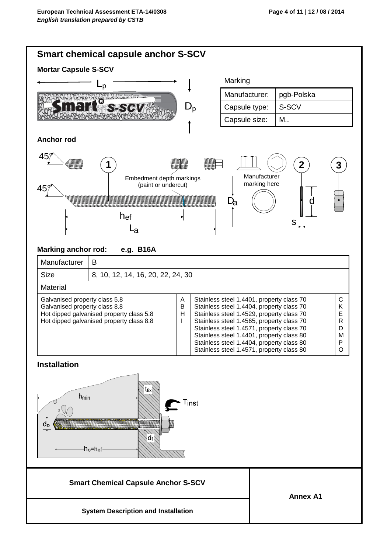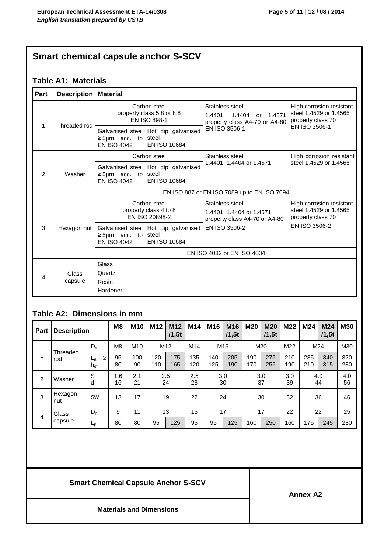# **Smart chemical capsule anchor S-SCV**

# **Table A1: Materials**

| Part          | <b>Description   Material</b> |                                          |                                                                |                                                                                 |                                                                         |  |  |  |  |  |
|---------------|-------------------------------|------------------------------------------|----------------------------------------------------------------|---------------------------------------------------------------------------------|-------------------------------------------------------------------------|--|--|--|--|--|
|               |                               |                                          | Carbon steel<br>property class 5.8 or 8.8<br>EN ISO 898-1      | Stainless steel<br>1.4401, 1.4404<br>or 1.4571<br>property class A4-70 or A4-80 | High corrosion resistant<br>steel 1.4529 or 1.4565<br>property class 70 |  |  |  |  |  |
| 1             | Threaded rod<br>Washer        | $\geq$ 5µm acc. to<br><b>EN ISO 4042</b> | Galvanised steel Hot dip galvanised<br>steel<br>EN ISO 10684   | EN ISO 3506-1                                                                   | EN ISO 3506-1                                                           |  |  |  |  |  |
|               |                               |                                          | Carbon steel                                                   | Stainless steel                                                                 | High corrosion resistant                                                |  |  |  |  |  |
| $\mathcal{P}$ |                               | $\geq$ 5µm acc. to<br><b>EN ISO 4042</b> | Galvanised steel   Hot dip galvanised<br>steel<br>EN ISO 10684 | 1.4401, 1.4404 or 1.4571                                                        | steel 1.4529 or 1.4565                                                  |  |  |  |  |  |
|               |                               |                                          |                                                                | EN ISO 887 or EN ISO 7089 up to EN ISO 7094                                     |                                                                         |  |  |  |  |  |
|               |                               |                                          | Carbon steel<br>property class 4 to 8<br>EN ISO 20898-2        | Stainless steel<br>1.4401, 1.4404 or 1.4571<br>property class A4-70 or A4-80    | High corrosion resistant<br>steel 1.4529 or 1.4565<br>property class 70 |  |  |  |  |  |
| 3             | Hexagon nut                   | $\geq$ 5µm acc. to<br><b>EN ISO 4042</b> | Galvanised steel   Hot dip galvanised<br>steel<br>EN ISO 10684 | EN ISO 3506-2                                                                   | EN ISO 3506-2                                                           |  |  |  |  |  |
|               |                               |                                          |                                                                | EN ISO 4032 or EN ISO 4034                                                      |                                                                         |  |  |  |  |  |
| 4             | Glass<br>capsule              | Glass<br>Quartz<br>Resin<br>Hardener     |                                                                |                                                                                 |                                                                         |  |  |  |  |  |

# **Table A2: Dimensions in mm**

| <b>Part</b>    | <b>Description</b>  |                     | M <sub>8</sub> | M <sub>10</sub> | M <sub>12</sub> | M <sub>12</sub><br>/1,5t | M14        | M16        | M <sub>16</sub><br>/1,5t | M20        | M <sub>20</sub><br>/1,5t | M22        | M24        | M24<br>/1,5t | <b>M30</b> |
|----------------|---------------------|---------------------|----------------|-----------------|-----------------|--------------------------|------------|------------|--------------------------|------------|--------------------------|------------|------------|--------------|------------|
|                | $D_{a}$<br>Threaded |                     | M <sub>8</sub> | M <sub>10</sub> | M <sub>12</sub> |                          | M14        |            | M16                      |            | M20                      | M22        | M24        |              | M30        |
| 1              | rod                 | ≥<br>La<br>$h_{ef}$ | 95<br>80       | 100<br>90       | 120<br>110      | 175<br>165               | 135<br>120 | 140<br>125 | 205<br>190               | 190<br>170 | 275<br>255               | 210<br>190 | 235<br>210 | 340<br>315   | 320<br>280 |
| $\overline{2}$ | Washer              | S<br>d              | 1.6<br>16      | 2.1<br>21       |                 | 2.5<br>24                |            |            | 3.0<br>30                |            | 3.0<br>37                | 3.0<br>39  | 4.0<br>44  |              | 4.0<br>56  |
| 3              | Hexagon<br>nut      | SW                  | 13             | 17              |                 | 19                       |            |            | 24                       | 30         |                          | 32         | 36         |              | 46         |
| 4              | $D_{p}$<br>Glass    |                     | 9              | 11              |                 | 13                       | 15         | 17         |                          | 17         |                          | 22         |            | 22           | 25         |
|                | capsule             | $L_{p}$             | 80             | 80              | 95              | 125                      | 95         | 95         | 125                      | 160        | 250                      | 160        | 175        | 245          | 230        |

# **Smart Chemical Capsule Anchor S-SCV**

**Annex A2**

**Materials and Dimensions**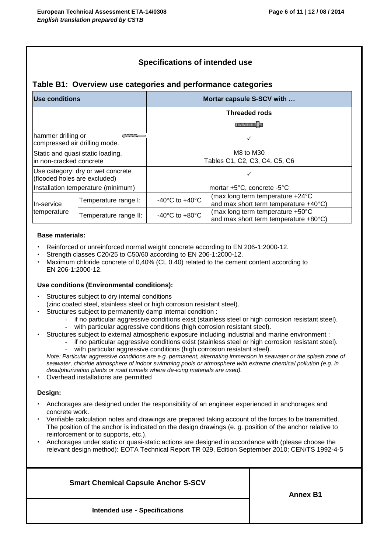## **Specifications of intended use**

### **Table B1: Overview use categories and performance categories**

| Use conditions                     |                                                                   |                                            | Mortar capsule S-SCV with                                                 |  |  |  |  |
|------------------------------------|-------------------------------------------------------------------|--------------------------------------------|---------------------------------------------------------------------------|--|--|--|--|
|                                    |                                                                   |                                            | <b>Threaded rods</b>                                                      |  |  |  |  |
|                                    |                                                                   |                                            |                                                                           |  |  |  |  |
| hammer drilling or                 | $\sim$<br>compressed air drilling mode.                           |                                            |                                                                           |  |  |  |  |
| lin non-cracked concrete           | Static and quasi static loading,                                  | M8 to M30<br>Tables C1, C2, C3, C4, C5, C6 |                                                                           |  |  |  |  |
|                                    | Use category: dry or wet concrete<br>(flooded holes are excluded) |                                            |                                                                           |  |  |  |  |
|                                    | Installation temperature (minimum)                                |                                            | mortar +5°C, concrete -5°C                                                |  |  |  |  |
| Temperature range I:<br>In-service |                                                                   | -40 $^{\circ}$ C to +40 $^{\circ}$ C       | (max long term temperature +24°C<br>and max short term temperature +40°C) |  |  |  |  |
| temperature                        | Temperature range II:                                             | $-40^{\circ}$ C to $+80^{\circ}$ C         | (max long term temperature +50°C<br>and max short term temperature +80°C) |  |  |  |  |

### **Base materials:**

- Reinforced or unreinforced normal weight concrete according to EN 206-1:2000-12.
- Strength classes C20/25 to C50/60 according to EN 206-1:2000-12.
- Maximum chloride concrete of 0,40% (CL 0.40) related to the cement content according to EN 206-1:2000-12.

### **Use conditions (Environmental conditions):**

- Structures subject to dry internal conditions (zinc coated steel, stainless steel or high corrosion resistant steel).
	- Structures subject to permanently damp internal condition :
		- if no particular aggressive conditions exist (stainless steel or high corrosion resistant steel).
			- with particular aggressive conditions (high corrosion resistant steel).
- Structures subject to external atmospheric exposure including industrial and marine environment :
	- if no particular aggressive conditions exist (stainless steel or high corrosion resistant steel). with particular aggressive conditions (high corrosion resistant steel).

*Note: Particular aggressive conditions are e.g. permanent, alternating immersion in seawater or the splash zone of seawater, chloride atmosphere of indoor swimming pools or atmosphere with extreme chemical pollution (e.g. in desulphurization plants or road tunnels where de-icing materials are used).*

Overhead installations are permitted

### **Design:**

- Anchorages are designed under the responsibility of an engineer experienced in anchorages and concrete work.
- Verifiable calculation notes and drawings are prepared taking account of the forces to be transmitted. The position of the anchor is indicated on the design drawings (e. g. position of the anchor relative to reinforcement or to supports, etc.).
- Anchorages under static or quasi-static actions are designed in accordance with (please choose the relevant design method): EOTA Technical Report TR 029, Edition September 2010; CEN/TS 1992-4-5

**Smart Chemical Capsule Anchor S-SCV Intended use** - **Specifications Annex B1**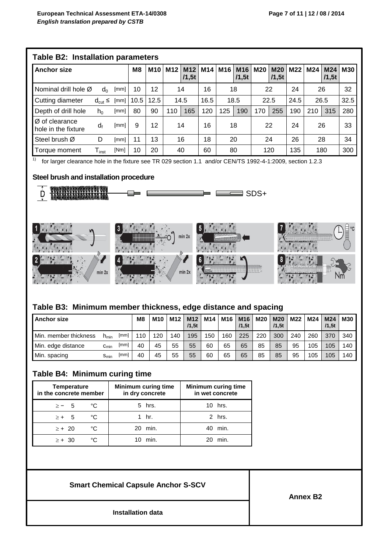|                                                   | Table B2: Installation parameters |      |      |      |                 |                          |                 |      |                          |            |                     |      |     |                          |     |
|---------------------------------------------------|-----------------------------------|------|------|------|-----------------|--------------------------|-----------------|------|--------------------------|------------|---------------------|------|-----|--------------------------|-----|
| <b>Anchor size</b>                                |                                   |      |      |      | M <sub>12</sub> | M <sub>12</sub><br>/1,5t | M <sub>14</sub> | M16  | M <sub>16</sub><br>/1,5t | <b>M20</b> | <b>M20</b><br>/1,5t | M22  | M24 | M <sub>24</sub><br>/1,5t | M30 |
| Nominal drill hole $\varnothing$                  | d∩                                | [mm] | 10   | 12   |                 | 14                       |                 | 18   |                          | 22         |                     | 24   |     | 26                       | 32  |
| Cutting diameter                                  | $d_{cut} \le$                     | [mm] | 10.5 | 12.5 |                 | 14.5                     |                 | 18.5 |                          | 22.5       |                     | 24.5 |     | 32.5<br>26.5             |     |
| Depth of drill hole                               | $h_0$                             | [mm] | 80   | 90   | 110             | 165                      | 120             | 125  | 190                      | 170        | 255                 | 190  | 210 | 315                      | 280 |
| $\varnothing$ of clearance<br>hole in the fixture | d                                 | [mm] | 9    | 12   |                 | 14                       |                 |      | 18                       | 22         |                     | 24   |     | 26                       | 33  |
| Steel brush Ø                                     | D                                 | [mm] | 11   | 13   |                 | 16                       |                 | 20   |                          | 24         |                     | 26   |     | 28                       | 34  |
| Torque moment                                     | ${\mathsf T}_{\sf inst}$          | [Nm] | 10   | 20   |                 | 40                       | 60              | 80   |                          | 120        |                     | 135  | 180 |                          | 300 |

1) for larger clearance hole in the fixture see TR 029 section 1.1 and/or CEN/TS 1992-4-1:2009, section 1.2.3

### **Steel brush and installation procedure**



### **Table B3: Minimum member thickness, edge distance and spacing**

| <b>Anchor size</b>    |                  |      |     | M10 | M12 | M <sub>12</sub><br>/1,5t | M14 | M16 | M <sub>16</sub><br>/1.5t | <b>M20</b> | <b>M20</b><br>/1,5t | M22 | M24        | M24<br>/1,5t | <b>M30</b> |
|-----------------------|------------------|------|-----|-----|-----|--------------------------|-----|-----|--------------------------|------------|---------------------|-----|------------|--------------|------------|
| Min. member thickness | $n_{min}$        | [mm] | 110 | 120 | 140 | 195                      | 150 | 160 | 225                      | 220        | 300                 | 240 | <b>260</b> | 370          | 340        |
| Min. edge distance    | $c_{\text{min}}$ | [mm] | 40  | 45  | 55  | 55                       | 60  | 65  | 65                       | 85         | 85                  | 95  | 105        | 105          | 140        |
| Min. spacing          | Smin             | [mm] | 40  | 45  | 55  | 55                       | 60  | 65  | 65                       | 85         | 85                  | 95  | 105        | 105          | 140        |

# **Table B4: Minimum curing time**

| <b>Temperature</b><br>in the concrete member |    | <b>Minimum curing time</b><br>in dry concrete | <b>Minimum curing time</b><br>in wet concrete |
|----------------------------------------------|----|-----------------------------------------------|-----------------------------------------------|
| $\ge -5$                                     | °C | 5 hrs.                                        | 10 hrs.                                       |
| $\geq +$ 5                                   | °C | 1 hr.                                         | 2 hrs.                                        |
| $\ge +20$                                    | °C | 20 min.                                       | min.<br>40                                    |
| $\ge + 30$                                   | °C | min.                                          | min.                                          |

## **Smart Chemical Capsule Anchor S-SCV**

**Annex B2**

**Installation data**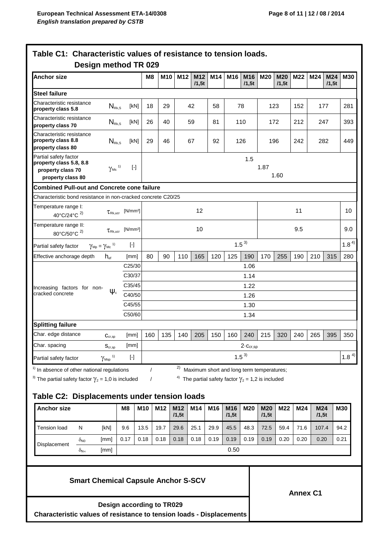| <b>Anchor size</b>                                                                         |                                  |                                                     | M8         | M <sub>10</sub>     | M12 | M <sub>12</sub> | M14 | M16 | M16           | M20                                       | <b>M20</b> | M22 | M24 | M24   | <b>M30</b> |
|--------------------------------------------------------------------------------------------|----------------------------------|-----------------------------------------------------|------------|---------------------|-----|-----------------|-----|-----|---------------|-------------------------------------------|------------|-----|-----|-------|------------|
|                                                                                            |                                  |                                                     |            |                     |     | /1,5t           |     |     | /1,5t         |                                           | /1.5t      |     |     | /1,5t |            |
| <b>Steel failure</b>                                                                       |                                  |                                                     |            |                     |     |                 |     |     |               |                                           |            |     |     |       |            |
| Characteristic resistance<br>property class 5.8                                            | $N_{Rk, S}$                      | [kN]                                                | 18         | 29                  |     | 42              | 58  |     | 78            |                                           | 123        | 152 | 177 |       | 281        |
| Characteristic resistance<br>property class 70                                             | $N_{\text{\tiny Rk,S}}$          | [kN]                                                | 26         | 40                  |     | 59              | 81  |     | 110           |                                           | 172        | 212 | 247 |       | 393        |
| Characteristic resistance<br>property class 8.8<br>property class 80                       | $N_{\rm Rk,S}$                   | [kN]                                                | 29         | 46                  |     | 67              | 92  |     | 126           |                                           | 196        | 242 |     | 282   | 449        |
| Partial safety factor<br>property class 5.8, 8.8<br>property class 70<br>property class 80 | $\gamma_{\rm Ms}$ <sup>1)</sup>  | $[ \cdot ]$                                         |            | 1.5<br>1.87<br>1.60 |     |                 |     |     |               |                                           |            |     |     |       |            |
| <b>Combined Pull-out and Concrete cone failure</b>                                         |                                  |                                                     |            |                     |     |                 |     |     |               |                                           |            |     |     |       |            |
| Characteristic bond resistance in non-cracked concrete C20/25                              |                                  |                                                     |            |                     |     |                 |     |     |               |                                           |            |     |     |       |            |
| Temperature range I:<br>40°C/24°C <sup>2)</sup>                                            |                                  | $\tau_{\text{\tiny{RK, ucr}}}$ [N/mm <sup>2</sup> ] |            |                     |     | 12              |     |     |               |                                           |            | 11  |     |       | 10         |
| Temperature range II:<br>80°C/50°C <sup>2)</sup>                                           | $\tau_{\textrm{\tiny Rk. UCT}}$  | [N/mm <sup>2</sup> ]                                |            |                     |     | 10              |     |     |               |                                           |            | 9.5 |     |       | 9.0        |
| $\gamma_\text{\tiny{Mp}}=\gamma_\text{\tiny{Mc}}$ ")<br>Partial safety factor              |                                  | $[\cdot]$                                           |            |                     |     |                 |     |     | $1.5^{3)}$    |                                           |            |     |     |       | $1.8^{4}$  |
| Effective anchorage depth                                                                  | $h_{\text{ref}}$                 | [mm]                                                | 80         | 90                  | 110 | 165             | 120 | 125 | 190           | 170                                       | 255        | 190 | 210 | 315   | 280        |
|                                                                                            |                                  | C25/30                                              |            |                     |     |                 |     |     | 1.06          |                                           |            |     |     |       |            |
|                                                                                            |                                  | C30/37                                              |            |                     |     |                 |     |     | 1.14          |                                           |            |     |     |       |            |
| Increasing factors for non-                                                                |                                  | C35/45                                              |            |                     |     |                 |     |     | 1.22          |                                           |            |     |     |       |            |
| cracked concrete                                                                           | $\Psi_c$                         | C40/50                                              |            |                     |     |                 |     |     | 1.26          |                                           |            |     |     |       |            |
|                                                                                            |                                  | C45/55                                              |            |                     |     |                 |     |     | 1.30          |                                           |            |     |     |       |            |
|                                                                                            |                                  | C50/60                                              | 1.34       |                     |     |                 |     |     |               |                                           |            |     |     |       |            |
| <b>Splitting failure</b>                                                                   |                                  |                                                     |            |                     |     |                 |     |     |               |                                           |            |     |     |       |            |
| Char. edge distance                                                                        | $C_{cr,sp}$                      | [mm]                                                | 160        | 135                 | 140 | 205             | 150 | 160 | 240           | 215                                       | 320        | 240 | 265 | 395   | 350        |
| Char. spacing                                                                              | $\mathbf{S}_{\text{cr,sp}}$      | [mm]                                                |            |                     |     |                 |     |     | $2-c_{cr,sp}$ |                                           |            |     |     |       |            |
| Partial safety factor                                                                      | $\gamma_{\rm Msp}$ <sup>1)</sup> | $[\cdot]$                                           |            |                     |     |                 |     |     | $1.5^{3}$     |                                           |            |     |     |       | $1.8^{4}$  |
| <sup>1)</sup> In absence of other national regulations                                     |                                  |                                                     | $\sqrt{ }$ |                     | 2)  |                 |     |     |               | Maximum short and long term temperatures; |            |     |     |       |            |

<sup>3)</sup> The partial safety factor  $\gamma_2$  = 1,0 is included  $\gamma_1$  /  $\gamma_2$  /  $\gamma_3$  The partial safety factor  $\gamma_2$  = 1,2 is included

# **Table C2: Displacements under tension loads**

| <b>Anchor size</b> |                 |      | M <sub>8</sub> | M10  | M <sub>12</sub> | M <sub>12</sub><br>/1,5t | M <sub>14</sub> | M <sub>16</sub> | M <sub>16</sub><br>/1,5t | M20  | <b>M20</b><br>/1,5t | M22  | M24  | M24<br>/1,5t | <b>M30</b> |
|--------------------|-----------------|------|----------------|------|-----------------|--------------------------|-----------------|-----------------|--------------------------|------|---------------------|------|------|--------------|------------|
| Tension load       | N               | [kN] | 9.6            | 13.5 | 19.7            | 29.6                     | 25.1            | 29.9            | 45.5                     | 48.3 | 72.5                | 59.4 | 71.6 | 107.4        | 94.2       |
| Displacement       | O <sub>NO</sub> | [mm] | 0.17           | 0.18 | 0.18            | 0.18                     | 0.18            | 0.19            | 0.19                     | 0.19 | 0.19                | 0.20 | 0.20 | 0.20         | 0.21       |
|                    | $O_{N\infty}$   | [mm] |                |      |                 |                          |                 |                 | 0.50                     |      |                     |      |      |              |            |

**Smart Chemical Capsule Anchor S-SCV**

**Annex C1**

**Design according to TR029**

**Characteristic values of resistance to tension loads - Displacements**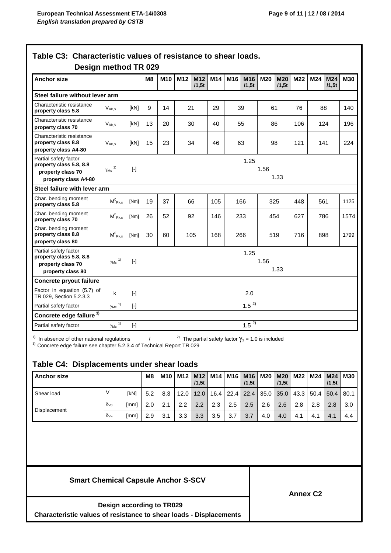|                                                                                                                  |                                           |                                                                                                                                                                                                                                                                                                                                                                                                                                                                                                                                                                                                                                                                                                                                                                                                                                                                                           | M <sub>8</sub> | M10                  | M12  | M12<br>/1.5t | M14  | M16  | M16<br>/1.5t | M20                                                                  | <b>M20</b><br>/1.5t | M22             | M24  | M24<br>/1,5t | <b>M30</b>  |
|------------------------------------------------------------------------------------------------------------------|-------------------------------------------|-------------------------------------------------------------------------------------------------------------------------------------------------------------------------------------------------------------------------------------------------------------------------------------------------------------------------------------------------------------------------------------------------------------------------------------------------------------------------------------------------------------------------------------------------------------------------------------------------------------------------------------------------------------------------------------------------------------------------------------------------------------------------------------------------------------------------------------------------------------------------------------------|----------------|----------------------|------|--------------|------|------|--------------|----------------------------------------------------------------------|---------------------|-----------------|------|--------------|-------------|
| Steel failure without lever arm                                                                                  |                                           |                                                                                                                                                                                                                                                                                                                                                                                                                                                                                                                                                                                                                                                                                                                                                                                                                                                                                           |                |                      |      |              |      |      |              |                                                                      |                     |                 |      |              |             |
| Characteristic resistance<br>property class 5.8                                                                  | $V_{Rk,S}$                                | [kN]                                                                                                                                                                                                                                                                                                                                                                                                                                                                                                                                                                                                                                                                                                                                                                                                                                                                                      | 9              | 14                   | 21   |              | 29   | 39   |              | 61                                                                   |                     | 76<br>88        |      |              | 140         |
| Characteristic resistance<br>property class 70                                                                   | $V_{\rm Rk,S}$                            | [kN]                                                                                                                                                                                                                                                                                                                                                                                                                                                                                                                                                                                                                                                                                                                                                                                                                                                                                      | 13             | 20                   | 30   |              | 40   | 55   |              | 86                                                                   |                     | 106             | 124  |              | 196         |
| Characteristic resistance<br>property class 8.8<br>property class A4-80                                          | $V_{Rk,S}$                                | [kN]                                                                                                                                                                                                                                                                                                                                                                                                                                                                                                                                                                                                                                                                                                                                                                                                                                                                                      | 15             | 23                   | 34   |              | 46   | 63   |              | 98                                                                   |                     | 121             | 141  |              | 224         |
| Partial safety factor<br>property class 5.8, 8.8<br>property class 70<br>property class A4-80                    | 1)<br>$\gamma_{\mathsf{Ms}}$              | $[\cdot] % \centering \includegraphics[width=0.9\textwidth]{images/TrDiM-Architecture.png} % \caption{The first two different values of $S$ and $S$ are shown in the left, the first two different values of $S$ and $S$ are shown in the right, and the second two different values of $S$ are shown in the right, and the second two different values of $S$ are shown in the right, and the second two different values of $S$ are shown in the right, and the second two different values of $S$ are shown in the right, and the third two different values of $S$ are shown in the right, and the third two different values of $S$ are shown in the right, and the third two different values of $S$ are shown in the right, and the third two different values of $S$ are shown in the right, and the third two different values of $S$ are shown in the right, and the third two$ |                | 1.25<br>1.56<br>1.33 |      |              |      |      |              |                                                                      |                     |                 |      |              |             |
| Steel failure with lever arm                                                                                     |                                           |                                                                                                                                                                                                                                                                                                                                                                                                                                                                                                                                                                                                                                                                                                                                                                                                                                                                                           |                |                      |      |              |      |      |              |                                                                      |                     |                 |      |              |             |
| Char. bending moment<br>property class 5.8                                                                       | $\mathsf{M}^0_{\ \mathsf{Rk},\mathsf{s}}$ | [Nm]                                                                                                                                                                                                                                                                                                                                                                                                                                                                                                                                                                                                                                                                                                                                                                                                                                                                                      | 19             | 37                   | 66   |              | 105  | 166  |              |                                                                      | 325                 | 448             | 561  |              | 1125        |
| Char. bending moment<br>property class 70                                                                        | $\mathsf{M}^0_{\ \mathsf{Rk},\mathsf{s}}$ | [Nm]                                                                                                                                                                                                                                                                                                                                                                                                                                                                                                                                                                                                                                                                                                                                                                                                                                                                                      | 26             | 52                   | 92   |              | 146  | 233  |              | 454                                                                  |                     | 627             | 786  |              | 1574        |
| Char. bending moment<br>property class 8.8<br>property class 80                                                  | $M^0_{Rk,s}$                              | [Nm]                                                                                                                                                                                                                                                                                                                                                                                                                                                                                                                                                                                                                                                                                                                                                                                                                                                                                      | 30             | 60                   | 105  |              | 168  | 266  | 519          |                                                                      |                     | 716             | 898  |              | 1799        |
| Partial safety factor<br>property class 5.8, 8.8<br>property class 70<br>property class 80                       | $\gamma_\mathsf{Ms}$ 1)                   | $[ \cdot ]$                                                                                                                                                                                                                                                                                                                                                                                                                                                                                                                                                                                                                                                                                                                                                                                                                                                                               |                | 1.25<br>1.56<br>1.33 |      |              |      |      |              |                                                                      |                     |                 |      |              |             |
| Concrete pryout failure                                                                                          |                                           |                                                                                                                                                                                                                                                                                                                                                                                                                                                                                                                                                                                                                                                                                                                                                                                                                                                                                           |                |                      |      |              |      |      |              |                                                                      |                     |                 |      |              |             |
| Factor in equation (5.7) of<br>TR 029, Section 5.2.3.3                                                           | k                                         | $[\cdot]$                                                                                                                                                                                                                                                                                                                                                                                                                                                                                                                                                                                                                                                                                                                                                                                                                                                                                 |                | 2.0                  |      |              |      |      |              |                                                                      |                     |                 |      |              |             |
| Partial safety factor                                                                                            | $\gamma_{\text{Mc}}$ <sup>1)</sup>        |                                                                                                                                                                                                                                                                                                                                                                                                                                                                                                                                                                                                                                                                                                                                                                                                                                                                                           |                |                      |      |              |      |      | $1.5^{2}$    |                                                                      |                     |                 |      |              |             |
| Concrete edge failure <sup>3)</sup>                                                                              |                                           |                                                                                                                                                                                                                                                                                                                                                                                                                                                                                                                                                                                                                                                                                                                                                                                                                                                                                           |                |                      |      |              |      |      |              |                                                                      |                     |                 |      |              |             |
|                                                                                                                  | $\gamma_{\text{Mc}}^{1}$                  |                                                                                                                                                                                                                                                                                                                                                                                                                                                                                                                                                                                                                                                                                                                                                                                                                                                                                           |                |                      |      |              |      |      | $1.5^{2}$    |                                                                      |                     |                 |      |              |             |
| Partial safety factor                                                                                            |                                           |                                                                                                                                                                                                                                                                                                                                                                                                                                                                                                                                                                                                                                                                                                                                                                                                                                                                                           |                |                      |      |              |      |      |              | <sup>2)</sup> The partial safety factor $\gamma_2$ = 1.0 is included |                     |                 |      |              |             |
| In absence of other national regulations<br>Concrete edge failure see chapter 5.2.3.4 of Technical Report TR 029 |                                           |                                                                                                                                                                                                                                                                                                                                                                                                                                                                                                                                                                                                                                                                                                                                                                                                                                                                                           |                |                      |      |              |      |      |              |                                                                      |                     |                 |      |              |             |
| <b>Anchor size</b>                                                                                               |                                           |                                                                                                                                                                                                                                                                                                                                                                                                                                                                                                                                                                                                                                                                                                                                                                                                                                                                                           | M <sub>8</sub> | M10                  | M12  | M12<br>/1,5t | M14  | M16  | M16<br>/1,5t | M20                                                                  | <b>M20</b><br>/1,5t | M22             | M24  | M24<br>/1,5t | M30         |
| Shear load                                                                                                       | V                                         | [kN]                                                                                                                                                                                                                                                                                                                                                                                                                                                                                                                                                                                                                                                                                                                                                                                                                                                                                      | 5.2            | 8.3                  | 12.0 | 12.0         | 16.4 | 22.4 | 22.4         | 35.0                                                                 | 35.0                | 43.3            | 50.4 | 50.4         |             |
|                                                                                                                  | $\delta$ <sub>V0</sub>                    | [mm]                                                                                                                                                                                                                                                                                                                                                                                                                                                                                                                                                                                                                                                                                                                                                                                                                                                                                      | 2.0            | 2.1                  | 2.2  | 2.2          | 2.3  | 2.5  | 2.5          | 2.6                                                                  | 2.6                 | 2.8             | 2.8  | 2.8          | 80.1<br>3.0 |
| Table C4: Displacements under shear loads                                                                        |                                           |                                                                                                                                                                                                                                                                                                                                                                                                                                                                                                                                                                                                                                                                                                                                                                                                                                                                                           |                |                      |      |              |      |      |              |                                                                      |                     |                 |      |              |             |
| Displacement                                                                                                     | $\delta_{\mathsf{V}\infty}$               | [mm]                                                                                                                                                                                                                                                                                                                                                                                                                                                                                                                                                                                                                                                                                                                                                                                                                                                                                      | 2.9            | 3.1                  | 3.3  | 3.3          | 3.5  | 3.7  | 3.7          | 4.0                                                                  | 4.0                 | 4.1             | 4.1  | 4.1          |             |
| <b>Smart Chemical Capsule Anchor S-SCV</b>                                                                       |                                           |                                                                                                                                                                                                                                                                                                                                                                                                                                                                                                                                                                                                                                                                                                                                                                                                                                                                                           |                |                      |      |              |      |      |              |                                                                      |                     |                 |      |              | 4.4         |
|                                                                                                                  | <b>Design according to TR029</b>          |                                                                                                                                                                                                                                                                                                                                                                                                                                                                                                                                                                                                                                                                                                                                                                                                                                                                                           |                |                      |      |              |      |      |              |                                                                      |                     | <b>Annex C2</b> |      |              |             |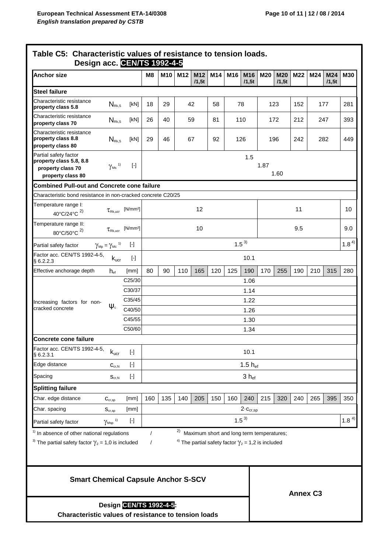| <b>Anchor size</b>                                                                                                             |                                                                       |                                                                                                                                                                                                                                                                                                                                                                                                                                                                                                                                                                                                                                                                                                                                                                                                                                                                                          | M <sub>8</sub>              | M10       | M12 | M12<br>/1,5t | M14 | M16        | M16<br>/1,5t                                                         | M20  | <b>M20</b><br>/1,5t | M22             | M24       | M24<br>/1,5t | <b>M30</b> |
|--------------------------------------------------------------------------------------------------------------------------------|-----------------------------------------------------------------------|------------------------------------------------------------------------------------------------------------------------------------------------------------------------------------------------------------------------------------------------------------------------------------------------------------------------------------------------------------------------------------------------------------------------------------------------------------------------------------------------------------------------------------------------------------------------------------------------------------------------------------------------------------------------------------------------------------------------------------------------------------------------------------------------------------------------------------------------------------------------------------------|-----------------------------|-----------|-----|--------------|-----|------------|----------------------------------------------------------------------|------|---------------------|-----------------|-----------|--------------|------------|
| <b>Steel failure</b>                                                                                                           |                                                                       |                                                                                                                                                                                                                                                                                                                                                                                                                                                                                                                                                                                                                                                                                                                                                                                                                                                                                          |                             |           |     |              |     |            |                                                                      |      |                     |                 |           |              |            |
| Characteristic resistance<br>property class 5.8                                                                                | $N_{\rm Rk,S}$                                                        | [kN]                                                                                                                                                                                                                                                                                                                                                                                                                                                                                                                                                                                                                                                                                                                                                                                                                                                                                     | 18<br>29<br>42<br>58<br>78  |           |     |              |     | 123<br>152 |                                                                      |      | 177                 |                 | 281       |              |            |
| Characteristic resistance<br>property class 70                                                                                 | $N_{\rm Rk,S}$                                                        | [kN]                                                                                                                                                                                                                                                                                                                                                                                                                                                                                                                                                                                                                                                                                                                                                                                                                                                                                     | 81<br>110<br>26<br>40<br>59 |           |     |              |     | 212<br>172 |                                                                      |      | 247                 |                 | 393       |              |            |
| Characteristic resistance<br>property class 8.8<br>property class 80                                                           | $N_{\rm Rk, S}$                                                       | [kN]                                                                                                                                                                                                                                                                                                                                                                                                                                                                                                                                                                                                                                                                                                                                                                                                                                                                                     | 92<br>29<br>46<br>67<br>126 |           |     |              |     |            | 196<br>242                                                           |      |                     | 282             |           | 449          |            |
| Partial safety factor<br>property class 5.8, 8.8<br>property class 70<br>property class 80                                     | $\gamma_{\rm Ms}$ $^{\scriptscriptstyle 1)}$                          | $[\cdot] % \centering \includegraphics[width=0.9\textwidth]{images/TrDiM-Architecture.png} % \caption{The first two different values of $S$ and $S$ are shown in the left, the first two different values of $S$ and $S$ are shown in the right, and the second two different values of $S$ are shown in the right, and the second two different values of $S$ are shown in the right, and the second two different values of $S$ are shown in the right, and the third two different values of $S$ are shown in the right, and the third two different values of $S$ are shown in the right, and the third two different values of $S$ are shown in the right, and the third two different values of $S$ are shown in the right, and the third two different values of $S$ are shown in the right, and the third two different values of $S$ are shown in the right, and the third two$ |                             |           |     |              |     |            | 1.5                                                                  | 1.87 | 1.60                |                 |           |              |            |
| <b>Combined Pull-out and Concrete cone failure</b>                                                                             |                                                                       |                                                                                                                                                                                                                                                                                                                                                                                                                                                                                                                                                                                                                                                                                                                                                                                                                                                                                          |                             |           |     |              |     |            |                                                                      |      |                     |                 |           |              |            |
| Characteristic bond resistance in non-cracked concrete C20/25                                                                  |                                                                       |                                                                                                                                                                                                                                                                                                                                                                                                                                                                                                                                                                                                                                                                                                                                                                                                                                                                                          |                             |           |     |              |     |            |                                                                      |      |                     |                 |           |              |            |
| Temperature range I:<br>40°C/24°C <sup>2)</sup>                                                                                | $\tau_{\textrm{\tiny Rk. ucr}}$                                       | [N/mm <sup>2</sup> ]                                                                                                                                                                                                                                                                                                                                                                                                                                                                                                                                                                                                                                                                                                                                                                                                                                                                     | 12<br>11                    |           |     |              |     |            |                                                                      |      | 10                  |                 |           |              |            |
| Temperature range II:<br>80°C/50°C <sup>2)</sup>                                                                               | $\tau_{\textrm{\tiny Rk. UCT}}$                                       | [N/mm <sup>2</sup> ]                                                                                                                                                                                                                                                                                                                                                                                                                                                                                                                                                                                                                                                                                                                                                                                                                                                                     |                             | 10        |     |              |     |            |                                                                      |      |                     | 9.5             |           |              | 9.0        |
| Partial safety factor                                                                                                          | $\gamma_{\text{\tiny{Mp}}} = \gamma_{\text{\tiny{MC}}}$ <sup>1)</sup> | $\left[ \cdot \right]$                                                                                                                                                                                                                                                                                                                                                                                                                                                                                                                                                                                                                                                                                                                                                                                                                                                                   |                             | $1.5^{3}$ |     |              |     |            |                                                                      |      |                     |                 |           |              | $1.8^{4}$  |
| Factor acc. CEN/TS 1992-4-5,<br>§6.2.2.3                                                                                       | $\mathsf{k}_{\mathsf{ucr}}$                                           | $[\cdot]$                                                                                                                                                                                                                                                                                                                                                                                                                                                                                                                                                                                                                                                                                                                                                                                                                                                                                |                             | 10.1      |     |              |     |            |                                                                      |      |                     |                 |           |              |            |
| Effective anchorage depth                                                                                                      | $h_{\text{ef}}$                                                       | [mm]                                                                                                                                                                                                                                                                                                                                                                                                                                                                                                                                                                                                                                                                                                                                                                                                                                                                                     | 80                          | 90        | 110 | 165          | 120 | 125        | 190                                                                  | 170  | 255                 | 190             | 210       | 315          | 280        |
| Increasing factors for non-                                                                                                    |                                                                       | C25/30                                                                                                                                                                                                                                                                                                                                                                                                                                                                                                                                                                                                                                                                                                                                                                                                                                                                                   |                             |           |     |              |     |            | 1.06                                                                 |      |                     |                 |           |              |            |
|                                                                                                                                |                                                                       | C30/37                                                                                                                                                                                                                                                                                                                                                                                                                                                                                                                                                                                                                                                                                                                                                                                                                                                                                   |                             |           |     |              |     |            | 1.14                                                                 |      |                     |                 |           |              |            |
|                                                                                                                                | $\Psi_c$                                                              | C35/45                                                                                                                                                                                                                                                                                                                                                                                                                                                                                                                                                                                                                                                                                                                                                                                                                                                                                   |                             |           |     |              |     |            | 1.22                                                                 |      |                     |                 |           |              |            |
| cracked concrete                                                                                                               |                                                                       | C40/50                                                                                                                                                                                                                                                                                                                                                                                                                                                                                                                                                                                                                                                                                                                                                                                                                                                                                   |                             | 1.26      |     |              |     |            |                                                                      |      |                     |                 |           |              |            |
|                                                                                                                                |                                                                       | C45/55                                                                                                                                                                                                                                                                                                                                                                                                                                                                                                                                                                                                                                                                                                                                                                                                                                                                                   |                             |           |     |              |     |            | 1.30                                                                 |      |                     |                 |           |              |            |
| Concrete cone failure                                                                                                          |                                                                       | C50/60                                                                                                                                                                                                                                                                                                                                                                                                                                                                                                                                                                                                                                                                                                                                                                                                                                                                                   |                             |           |     |              |     |            | 1.34                                                                 |      |                     |                 |           |              |            |
| Factor acc. CEN/TS 1992-4-5,<br>§6.2.3.1                                                                                       | $\mathsf{k}_{\mathsf{ucr}}$                                           | $[\cdot]$                                                                                                                                                                                                                                                                                                                                                                                                                                                                                                                                                                                                                                                                                                                                                                                                                                                                                |                             |           |     |              |     |            | 10.1                                                                 |      |                     |                 |           |              |            |
| Edge distance                                                                                                                  | $C_{cr,N}$                                                            | $[\cdot] % \centering \includegraphics[width=0.9\textwidth]{images/TrDiM-Architecture.png} % \caption{The first two different values of $S$ and $S$ are shown in the left, the first two different values of $S$ and $S$ are shown in the right, and the second two different values of $S$ are shown in the right, and the second two different values of $S$ are shown in the right, and the second two different values of $S$ are shown in the right, and the third two different values of $S$ are shown in the right, and the third two different values of $S$ are shown in the right, and the third two different values of $S$ are shown in the right, and the third two different values of $S$ are shown in the right, and the third two different values of $S$ are shown in the right, and the third two different values of $S$ are shown in the right, and the third two$ | 1.5 $h_{ef}$                |           |     |              |     |            |                                                                      |      |                     |                 |           |              |            |
| Spacing                                                                                                                        | $S_{cr,N}$                                                            | $[\cdot] % \centering \includegraphics[width=0.9\textwidth]{images/TrDiM-Architecture.png} % \caption{The first two different values of $S$ and $S$ are shown in the left.} \label{TrDiS} %$                                                                                                                                                                                                                                                                                                                                                                                                                                                                                                                                                                                                                                                                                             | $3 h_{ef}$                  |           |     |              |     |            |                                                                      |      |                     |                 |           |              |            |
| <b>Splitting failure</b>                                                                                                       |                                                                       |                                                                                                                                                                                                                                                                                                                                                                                                                                                                                                                                                                                                                                                                                                                                                                                                                                                                                          |                             |           |     |              |     |            |                                                                      |      |                     |                 |           |              |            |
| Char. edge distance                                                                                                            | $\mathbf{C}_{\text{cr,sp}}$                                           | [mm]                                                                                                                                                                                                                                                                                                                                                                                                                                                                                                                                                                                                                                                                                                                                                                                                                                                                                     | 160                         | 135       | 140 | 205          | 150 | 160        | 240                                                                  | 215  | 320                 | 240             | 265       | 395          | 350        |
| Char. spacing                                                                                                                  | $\mathbf{S}_{\text{cr,sp}}$                                           | [mm]                                                                                                                                                                                                                                                                                                                                                                                                                                                                                                                                                                                                                                                                                                                                                                                                                                                                                     |                             |           |     |              |     |            | $2-c_{cr,sp}$                                                        |      |                     |                 |           |              |            |
| Partial safety factor                                                                                                          | $\gamma_{\rm Msp}$ $^{\rm 1)}$                                        | $[\cdot] % \centering \includegraphics[width=0.9\textwidth]{images/TrDiM-Architecture.png} % \caption{The first two different values of $S$ in the image \cite{AilMAT} with the same parameters. The first two different values of $S$ is the same as in the image \cite{AilMAT} with the same parameters. The first two different values of $S$ is the same as in the image \cite{AilMAT} with the same values of $S$ is the same as in the image \cite{AilMAT} with the same values of $S$ is the same as in the image \cite{AilMAT} with the same values of $S$ is the same as in the image \cite{AilMAT} with the same values of $S$ is the same as in the image \cite{AilMAT} with the same values of $S$ is the same as in the image \$                                                                                                                                            | $1.5^{3}$                   |           |     |              |     |            |                                                                      |      |                     |                 | $1.8^{4}$ |              |            |
|                                                                                                                                |                                                                       |                                                                                                                                                                                                                                                                                                                                                                                                                                                                                                                                                                                                                                                                                                                                                                                                                                                                                          |                             |           | 2)  |              |     |            | Maximum short and long term temperatures;                            |      |                     |                 |           |              |            |
| <sup>1)</sup> In absence of other national regulations<br><sup>3)</sup> The partial safety factor $\gamma_2$ = 1,0 is included |                                                                       |                                                                                                                                                                                                                                                                                                                                                                                                                                                                                                                                                                                                                                                                                                                                                                                                                                                                                          | $\prime$<br>$\prime$        |           |     |              |     |            | <sup>4)</sup> The partial safety factor $\gamma_2$ = 1,2 is included |      |                     |                 |           |              |            |
| <b>Smart Chemical Capsule Anchor S-SCV</b>                                                                                     |                                                                       |                                                                                                                                                                                                                                                                                                                                                                                                                                                                                                                                                                                                                                                                                                                                                                                                                                                                                          |                             |           |     |              |     |            |                                                                      |      |                     |                 |           |              |            |
| Characteristic values of resistance to tension loads                                                                           |                                                                       | Design CEN/TS 1992-4-5                                                                                                                                                                                                                                                                                                                                                                                                                                                                                                                                                                                                                                                                                                                                                                                                                                                                   |                             |           |     |              |     |            |                                                                      |      |                     | <b>Annex C3</b> |           |              |            |